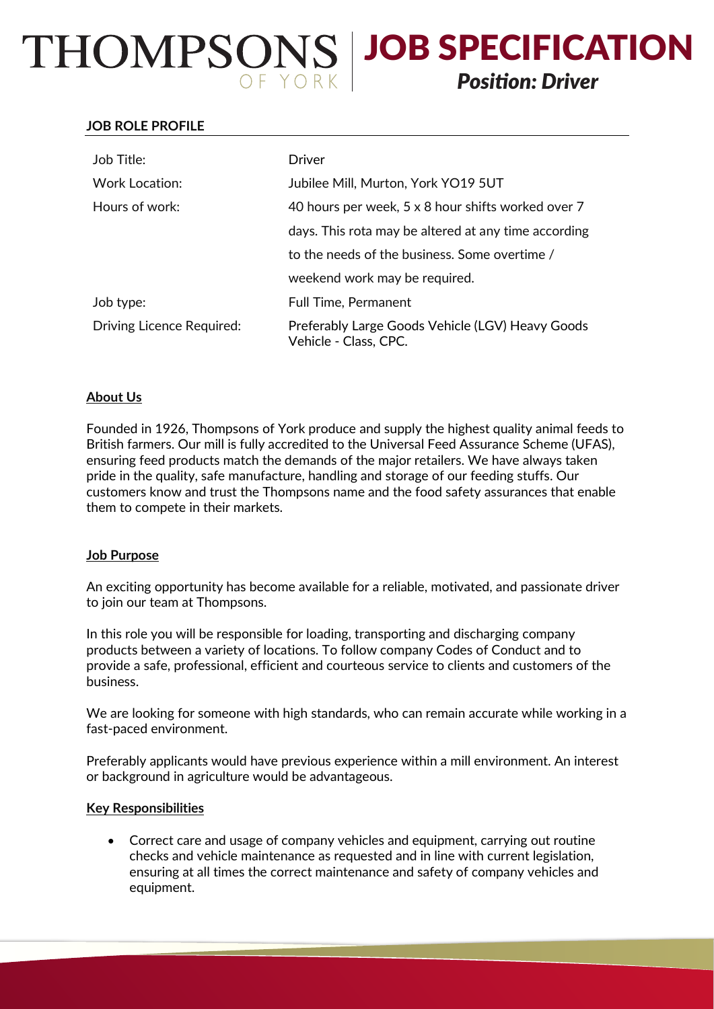# THOMPSONS | JOB SPECIFICATION *Position: Driver*

### **JOB ROLE PROFILE**

| Job Title:                | Driver                                                                    |
|---------------------------|---------------------------------------------------------------------------|
| Work Location:            | Jubilee Mill, Murton, York YO19 5UT                                       |
| Hours of work:            | 40 hours per week, 5 x 8 hour shifts worked over 7                        |
|                           | days. This rota may be altered at any time according                      |
|                           | to the needs of the business. Some overtime /                             |
|                           | weekend work may be required.                                             |
| Job type:                 | <b>Full Time, Permanent</b>                                               |
| Driving Licence Required: | Preferably Large Goods Vehicle (LGV) Heavy Goods<br>Vehicle - Class, CPC. |

## **About Us**

Founded in 1926, Thompsons of York produce and supply the highest quality animal feeds to British farmers. Our mill is fully accredited to the Universal Feed Assurance Scheme (UFAS), ensuring feed products match the demands of the major retailers. We have always taken pride in the quality, safe manufacture, handling and storage of our feeding stuffs. Our customers know and trust the Thompsons name and the food safety assurances that enable them to compete in their markets.

#### **Job Purpose**

An exciting opportunity has become available for a reliable, motivated, and passionate driver to join our team at Thompsons.

In this role you will be responsible for loading, transporting and discharging company products between a variety of locations. To follow company Codes of Conduct and to provide a safe, professional, efficient and courteous service to clients and customers of the business.

We are looking for someone with high standards, who can remain accurate while working in a fast-paced environment.

Preferably applicants would have previous experience within a mill environment. An interest or background in agriculture would be advantageous.

#### **Key Responsibilities**

 Correct care and usage of company vehicles and equipment, carrying out routine checks and vehicle maintenance as requested and in line with current legislation, ensuring at all times the correct maintenance and safety of company vehicles and equipment.